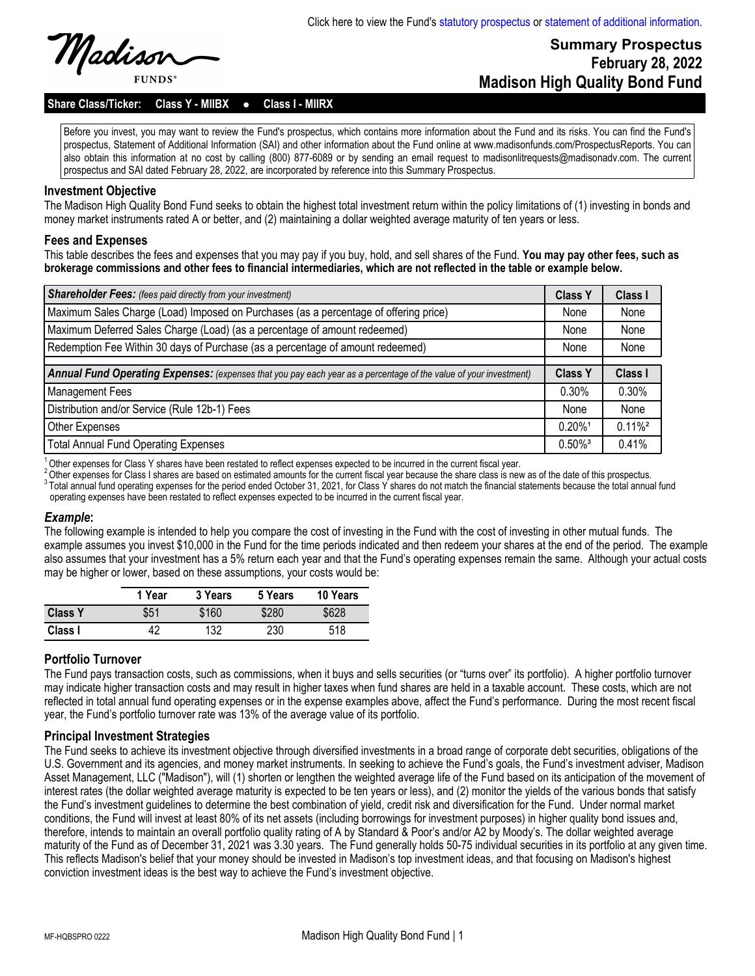# **Summary Prospectus February 28, 2022 Madison High Quality Bond Fund**

Share Class/Ticker: Class Y - MIIBX . Class I - MIIRX

Before you invest, you may want to review the Fund's prospectus, which contains more information about the Fund and its risks. You can find the Fund's prospectus, Statement of Additional Information (SAI) and other information about the Fund online at www.madisonfunds.com/ProspectusReports. You can also obtain this information at no cost by calling (800) 877-6089 or by sending an email request to madisonlitrequests@madisonadv.com. The current prospectus and SAI dated February 28, 2022, are incorporated by reference into this Summary Prospectus.

#### **Investment Objective**

The Madison High Quality Bond Fund seeks to obtain the highest total investment return within the policy limitations of (1) investing in bonds and money market instruments rated A or better, and (2) maintaining a dollar weighted average maturity of ten years or less.

#### **Fees and Expenses**

This table describes the fees and expenses that you may pay if you buy, hold, and sell shares of the Fund. **You may pay other fees, such as brokerage commissions and other fees to financial intermediaries, which are not reflected in the table or example below.**

| <b>Shareholder Fees:</b> (fees paid directly from your investment)                                                |                       | <b>Class I</b>        |
|-------------------------------------------------------------------------------------------------------------------|-----------------------|-----------------------|
| Maximum Sales Charge (Load) Imposed on Purchases (as a percentage of offering price)                              | None                  | None                  |
| Maximum Deferred Sales Charge (Load) (as a percentage of amount redeemed)                                         | None                  | None                  |
| Redemption Fee Within 30 days of Purchase (as a percentage of amount redeemed)                                    |                       | None                  |
|                                                                                                                   |                       |                       |
| Annual Fund Operating Expenses: (expenses that you pay each year as a percentage of the value of your investment) |                       | Class I               |
| Management Fees                                                                                                   | 0.30%                 | 0.30%                 |
| Distribution and/or Service (Rule 12b-1) Fees                                                                     | None                  | None                  |
| <b>Other Expenses</b>                                                                                             | $0.20\%$ <sup>1</sup> | $0.11\%$ <sup>2</sup> |
| <b>Total Annual Fund Operating Expenses</b>                                                                       | $0.50\%$ <sup>3</sup> | 0.41%                 |

 $1\overline{)}$ Other expenses for Class Y shares have been restated to reflect expenses expected to be incurred in the current fiscal year.

 $^2$  Other expenses for Class I shares are based on estimated amounts for the current fiscal year because the share class is new as of the date of this prospectus.  $^3$  Total annual fund operating expenses for the period ended October 31, 2021, for Class Y shares do not match the financial statements because the total annual fund operating expenses have been restated to reflect expenses expected to be incurred in the current fiscal year.

#### *Example***:**

The following example is intended to help you compare the cost of investing in the Fund with the cost of investing in other mutual funds. The example assumes you invest \$10,000 in the Fund for the time periods indicated and then redeem your shares at the end of the period. The example also assumes that your investment has a 5% return each year and that the Fund's operating expenses remain the same. Although your actual costs may be higher or lower, based on these assumptions, your costs would be:

|                | 1 Year | 3 Years | 5 Years | 10 Years |
|----------------|--------|---------|---------|----------|
| <b>Class Y</b> | \$51   | \$160   | \$280   | \$628    |
| Class I        | 42     | 132     | 230     | 518      |

#### **Portfolio Turnover**

The Fund pays transaction costs, such as commissions, when it buys and sells securities (or "turns over" its portfolio). A higher portfolio turnover may indicate higher transaction costs and may result in higher taxes when fund shares are held in a taxable account. These costs, which are not reflected in total annual fund operating expenses or in the expense examples above, affect the Fund's performance. During the most recent fiscal year, the Fund's portfolio turnover rate was 13% of the average value of its portfolio.

#### **Principal Investment Strategies**

The Fund seeks to achieve its investment objective through diversified investments in a broad range of corporate debt securities, obligations of the U.S. Government and its agencies, and money market instruments. In seeking to achieve the Fund's goals, the Fund's investment adviser, Madison Asset Management, LLC ("Madison"), will (1) shorten or lengthen the weighted average life of the Fund based on its anticipation of the movement of interest rates (the dollar weighted average maturity is expected to be ten years or less), and (2) monitor the yields of the various bonds that satisfy the Fund's investment guidelines to determine the best combination of yield, credit risk and diversification for the Fund. Under normal market conditions, the Fund will invest at least 80% of its net assets (including borrowings for investment purposes) in higher quality bond issues and, therefore, intends to maintain an overall portfolio quality rating of A by Standard & Poor's and/or A2 by Moody's. The dollar weighted average maturity of the Fund as of December 31, 2021 was 3.30 years. The Fund generally holds 50-75 individual securities in its portfolio at any given time. This reflects Madison's belief that your money should be invested in Madison's top investment ideas, and that focusing on Madison's highest conviction investment ideas is the best way to achieve the Fund's investment objective.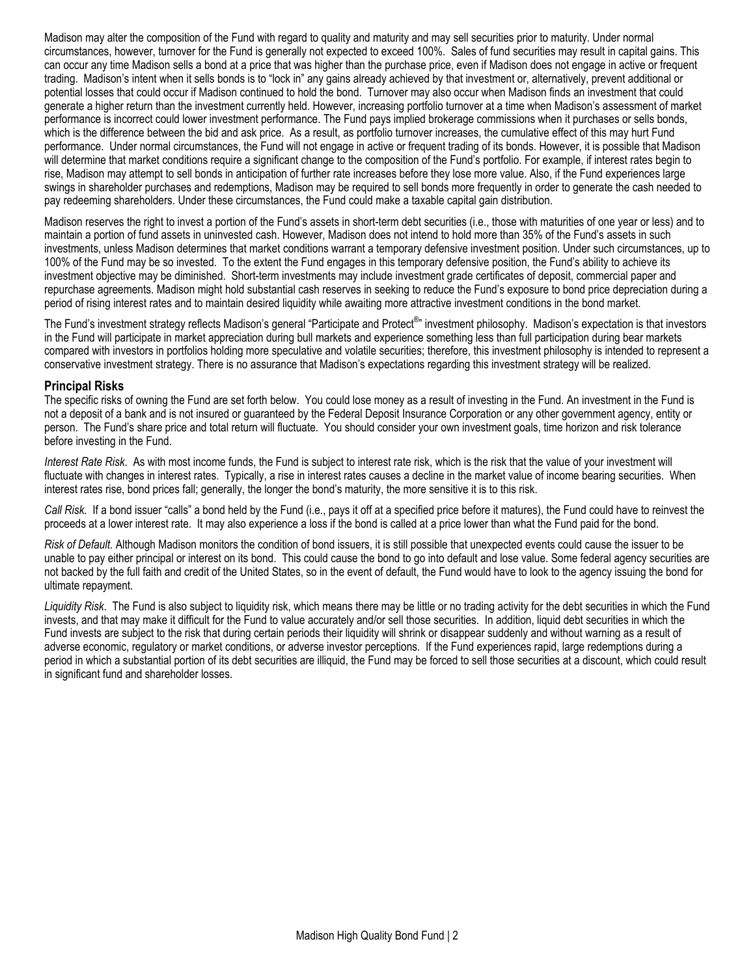Madison may alter the composition of the Fund with regard to quality and maturity and may sell securities prior to maturity. Under normal circumstances, however, turnover for the Fund is generally not expected to exceed 100%. Sales of fund securities may result in capital gains. This can occur any time Madison sells a bond at a price that was higher than the purchase price, even if Madison does not engage in active or frequent trading. Madison's intent when it sells bonds is to "lock in" any gains already achieved by that investment or, alternatively, prevent additional or potential losses that could occur if Madison continued to hold the bond. Turnover may also occur when Madison finds an investment that could generate a higher return than the investment currently held. However, increasing portfolio turnover at a time when Madison's assessment of market performance is incorrect could lower investment performance. The Fund pays implied brokerage commissions when it purchases or sells bonds, which is the difference between the bid and ask price. As a result, as portfolio turnover increases, the cumulative effect of this may hurt Fund performance. Under normal circumstances, the Fund will not engage in active or frequent trading of its bonds. However, it is possible that Madison will determine that market conditions require a significant change to the composition of the Fund's portfolio. For example, if interest rates begin to rise, Madison may attempt to sell bonds in anticipation of further rate increases before they lose more value. Also, if the Fund experiences large swings in shareholder purchases and redemptions, Madison may be required to sell bonds more frequently in order to generate the cash needed to pay redeeming shareholders. Under these circumstances, the Fund could make a taxable capital gain distribution.

Madison reserves the right to invest a portion of the Fund's assets in short-term debt securities (i.e., those with maturities of one year or less) and to maintain a portion of fund assets in uninvested cash. However, Madison does not intend to hold more than 35% of the Fund's assets in such investments, unless Madison determines that market conditions warrant a temporary defensive investment position. Under such circumstances, up to 100% of the Fund may be so invested. To the extent the Fund engages in this temporary defensive position, the Fund's ability to achieve its investment objective may be diminished. Short-term investments may include investment grade certificates of deposit, commercial paper and repurchase agreements. Madison might hold substantial cash reserves in seeking to reduce the Fund's exposure to bond price depreciation during a period of rising interest rates and to maintain desired liquidity while awaiting more attractive investment conditions in the bond market.

The Fund's investment strategy reflects Madison's general "Participate and Protect<sup>®</sup>" investment philosophy. Madison's expectation is that investors in the Fund will participate in market appreciation during bull markets and experience something less than full participation during bear markets compared with investors in portfolios holding more speculative and volatile securities; therefore, this investment philosophy is intended to represent a conservative investment strategy. There is no assurance that Madison's expectations regarding this investment strategy will be realized.

#### **Principal Risks**

The specific risks of owning the Fund are set forth below. You could lose money as a result of investing in the Fund. An investment in the Fund is not a deposit of a bank and is not insured or guaranteed by the Federal Deposit Insurance Corporation or any other government agency, entity or person. The Fund's share price and total return will fluctuate. You should consider your own investment goals, time horizon and risk tolerance before investing in the Fund.

*Interest Rate Risk*. As with most income funds, the Fund is subject to interest rate risk, which is the risk that the value of your investment will fluctuate with changes in interest rates. Typically, a rise in interest rates causes a decline in the market value of income bearing securities. When interest rates rise, bond prices fall; generally, the longer the bond's maturity, the more sensitive it is to this risk.

*Call Risk.* If a bond issuer "calls" a bond held by the Fund (i.e., pays it off at a specified price before it matures), the Fund could have to reinvest the proceeds at a lower interest rate. It may also experience a loss if the bond is called at a price lower than what the Fund paid for the bond.

*Risk of Default.* Although Madison monitors the condition of bond issuers, it is still possible that unexpected events could cause the issuer to be unable to pay either principal or interest on its bond. This could cause the bond to go into default and lose value. Some federal agency securities are not backed by the full faith and credit of the United States, so in the event of default, the Fund would have to look to the agency issuing the bond for ultimate repayment.

*Liquidity Risk*. The Fund is also subject to liquidity risk, which means there may be little or no trading activity for the debt securities in which the Fund invests, and that may make it difficult for the Fund to value accurately and/or sell those securities. In addition, liquid debt securities in which the Fund invests are subject to the risk that during certain periods their liquidity will shrink or disappear suddenly and without warning as a result of adverse economic, regulatory or market conditions, or adverse investor perceptions. If the Fund experiences rapid, large redemptions during a period in which a substantial portion of its debt securities are illiquid, the Fund may be forced to sell those securities at a discount, which could result in significant fund and shareholder losses.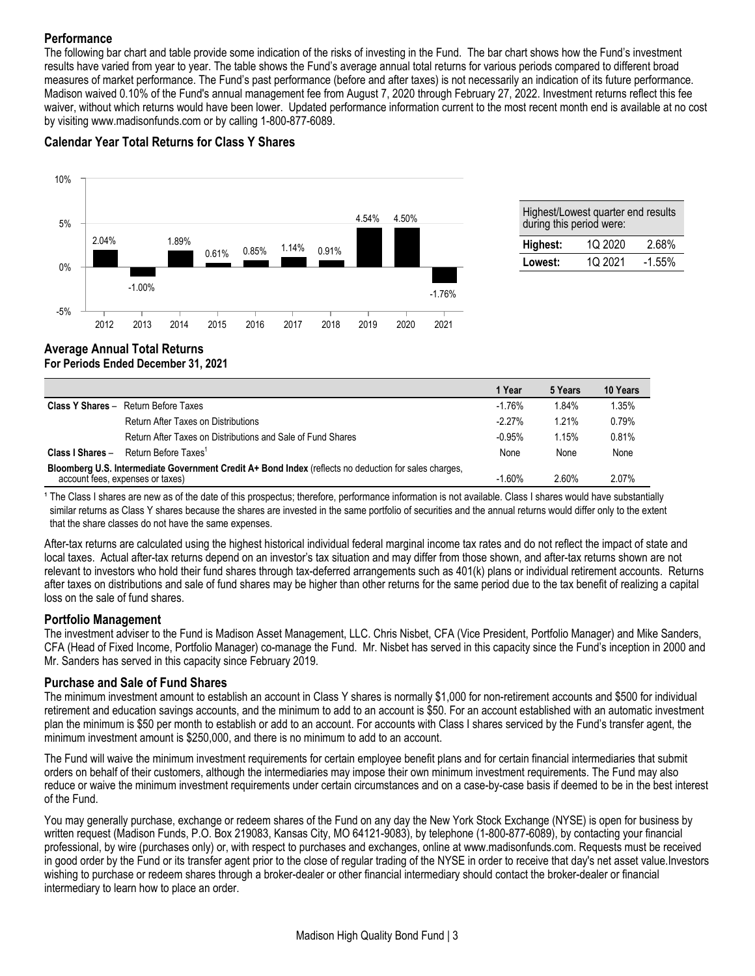### **Performance**

10%

The following bar chart and table provide some indication of the risks of investing in the Fund. The bar chart shows how the Fund's investment results have varied from year to year. The table shows the Fund's average annual total returns for various periods compared to different broad measures of market performance. The Fund's past performance (before and after taxes) is not necessarily an indication of its future performance. Madison waived 0.10% of the Fund's annual management fee from August 7, 2020 through February 27, 2022. Investment returns reflect this fee waiver, without which returns would have been lower. Updated performance information current to the most recent month end is available at no cost by visiting www.madisonfunds.com or by calling 1-800-877-6089.

# **Calendar Year Total Returns for Class Y Shares**



| Highest/Lowest quarter end results<br>during this period were: |         |          |  |  |  |  |
|----------------------------------------------------------------|---------|----------|--|--|--|--|
| Highest:                                                       | 1Q 2020 | 2.68%    |  |  |  |  |
| Lowest:                                                        | 1Q 2021 | $-1.55%$ |  |  |  |  |

### **Average Annual Total Returns For Periods Ended December 31, 2021**

|                                                                                                                                           |                                                             | 1 Year   | 5 Years | 10 Years |
|-------------------------------------------------------------------------------------------------------------------------------------------|-------------------------------------------------------------|----------|---------|----------|
|                                                                                                                                           | <b>Class Y Shares - Return Before Taxes</b>                 | $-1.76%$ | 1.84%   | 1.35%    |
|                                                                                                                                           | Return After Taxes on Distributions                         | $-2.27%$ | 1.21%   | 0.79%    |
|                                                                                                                                           | Return After Taxes on Distributions and Sale of Fund Shares | $-0.95%$ | 1.15%   | 0.81%    |
| Class I Shares -                                                                                                                          | Return Before Taxes <sup>1</sup>                            | None     | None    | None     |
| Bloomberg U.S. Intermediate Government Credit A+ Bond Index (reflects no deduction for sales charges,<br>account fees, expenses or taxes) |                                                             | $-1.60%$ | 2.60%   | 2.07%    |

<sup>1</sup> The Class I shares are new as of the date of this prospectus; therefore, performance information is not available. Class I shares would have substantially similar returns as Class Y shares because the shares are invested in the same portfolio of securities and the annual returns would differ only to the extent that the share classes do not have the same expenses.

After-tax returns are calculated using the highest historical individual federal marginal income tax rates and do not reflect the impact of state and local taxes. Actual after-tax returns depend on an investor's tax situation and may differ from those shown, and after-tax returns shown are not relevant to investors who hold their fund shares through tax-deferred arrangements such as 401(k) plans or individual retirement accounts. Returns after taxes on distributions and sale of fund shares may be higher than other returns for the same period due to the tax benefit of realizing a capital loss on the sale of fund shares.

### **Portfolio Management**

The investment adviser to the Fund is Madison Asset Management, LLC. Chris Nisbet, CFA (Vice President, Portfolio Manager) and Mike Sanders, CFA (Head of Fixed Income, Portfolio Manager) co-manage the Fund. Mr. Nisbet has served in this capacity since the Fund's inception in 2000 and Mr. Sanders has served in this capacity since February 2019.

### **Purchase and Sale of Fund Shares**

The minimum investment amount to establish an account in Class Y shares is normally \$1,000 for non-retirement accounts and \$500 for individual retirement and education savings accounts, and the minimum to add to an account is \$50. For an account established with an automatic investment plan the minimum is \$50 per month to establish or add to an account. For accounts with Class I shares serviced by the Fund's transfer agent, the minimum investment amount is \$250,000, and there is no minimum to add to an account.

The Fund will waive the minimum investment requirements for certain employee benefit plans and for certain financial intermediaries that submit orders on behalf of their customers, although the intermediaries may impose their own minimum investment requirements. The Fund may also reduce or waive the minimum investment requirements under certain circumstances and on a case-by-case basis if deemed to be in the best interest of the Fund.

You may generally purchase, exchange or redeem shares of the Fund on any day the New York Stock Exchange (NYSE) is open for business by written request (Madison Funds, P.O. Box 219083, Kansas City, MO 64121-9083), by telephone (1-800-877-6089), by contacting your financial professional, by wire (purchases only) or, with respect to purchases and exchanges, online at www.madisonfunds.com. Requests must be received in good order by the Fund or its transfer agent prior to the close of regular trading of the NYSE in order to receive that day's net asset value.Investors wishing to purchase or redeem shares through a broker-dealer or other financial intermediary should contact the broker-dealer or financial intermediary to learn how to place an order.